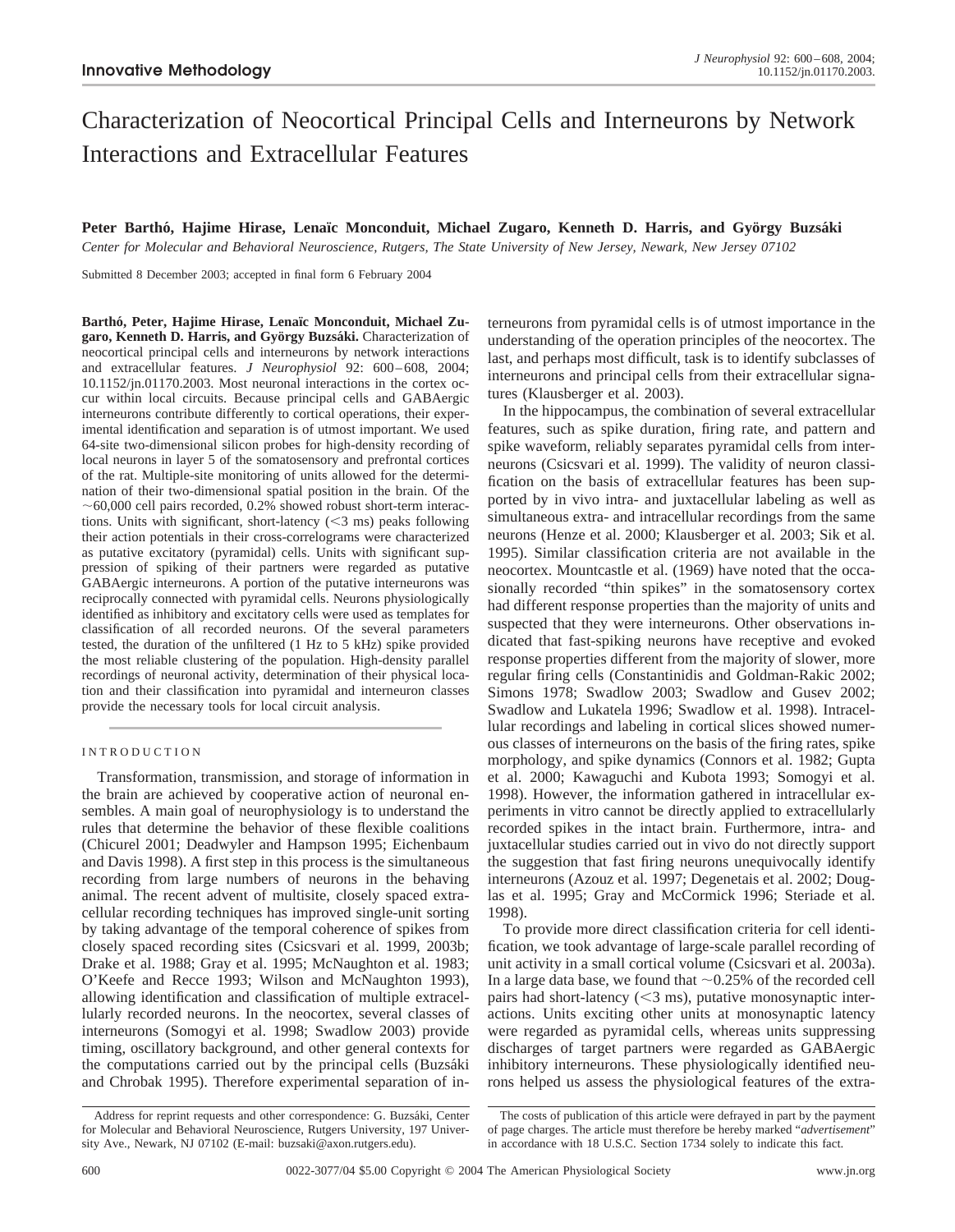# Characterization of Neocortical Principal Cells and Interneurons by Network Interactions and Extracellular Features

# Peter Barthó, Hajime Hirase, Lenaïc Monconduit, Michael Zugaro, Kenneth D. Harris, and György Buzsáki

*Center for Molecular and Behavioral Neuroscience, Rutgers, The State University of New Jersey, Newark, New Jersey 07102*

Submitted 8 December 2003; accepted in final form 6 February 2004

Barthó, Peter, Hajime Hirase, Lenaïc Monconduit, Michael Zugaro, Kenneth D. Harris, and György Buzsáki. Characterization of neocortical principal cells and interneurons by network interactions and extracellular features. *J Neurophysiol* 92: 600–608, 2004; 10.1152/jn.01170.2003. Most neuronal interactions in the cortex occur within local circuits. Because principal cells and GABAergic interneurons contribute differently to cortical operations, their experimental identification and separation is of utmost important. We used 64-site two-dimensional silicon probes for high-density recording of local neurons in layer 5 of the somatosensory and prefrontal cortices of the rat. Multiple-site monitoring of units allowed for the determination of their two-dimensional spatial position in the brain. Of the  $~1$   $~0.000$  cell pairs recorded, 0.2% showed robust short-term interactions. Units with significant, short-latency  $(<$ 3 ms) peaks following their action potentials in their cross-correlograms were characterized as putative excitatory (pyramidal) cells. Units with significant suppression of spiking of their partners were regarded as putative GABAergic interneurons. A portion of the putative interneurons was reciprocally connected with pyramidal cells. Neurons physiologically identified as inhibitory and excitatory cells were used as templates for classification of all recorded neurons. Of the several parameters tested, the duration of the unfiltered (1 Hz to 5 kHz) spike provided the most reliable clustering of the population. High-density parallel recordings of neuronal activity, determination of their physical location and their classification into pyramidal and interneuron classes provide the necessary tools for local circuit analysis.

# INTRODUCTION

Transformation, transmission, and storage of information in the brain are achieved by cooperative action of neuronal ensembles. A main goal of neurophysiology is to understand the rules that determine the behavior of these flexible coalitions (Chicurel 2001; Deadwyler and Hampson 1995; Eichenbaum and Davis 1998). A first step in this process is the simultaneous recording from large numbers of neurons in the behaving animal. The recent advent of multisite, closely spaced extracellular recording techniques has improved single-unit sorting by taking advantage of the temporal coherence of spikes from closely spaced recording sites (Csicsvari et al. 1999, 2003b; Drake et al. 1988; Gray et al. 1995; McNaughton et al. 1983; O'Keefe and Recce 1993; Wilson and McNaughton 1993), allowing identification and classification of multiple extracellularly recorded neurons. In the neocortex, several classes of interneurons (Somogyi et al. 1998; Swadlow 2003) provide timing, oscillatory background, and other general contexts for the computations carried out by the principal cells (Buzsáki and Chrobak 1995). Therefore experimental separation of interneurons from pyramidal cells is of utmost importance in the understanding of the operation principles of the neocortex. The last, and perhaps most difficult, task is to identify subclasses of interneurons and principal cells from their extracellular signatures (Klausberger et al. 2003).

In the hippocampus, the combination of several extracellular features, such as spike duration, firing rate, and pattern and spike waveform, reliably separates pyramidal cells from interneurons (Csicsvari et al. 1999). The validity of neuron classification on the basis of extracellular features has been supported by in vivo intra- and juxtacellular labeling as well as simultaneous extra- and intracellular recordings from the same neurons (Henze et al. 2000; Klausberger et al. 2003; Sik et al. 1995). Similar classification criteria are not available in the neocortex. Mountcastle et al. (1969) have noted that the occasionally recorded "thin spikes" in the somatosensory cortex had different response properties than the majority of units and suspected that they were interneurons. Other observations indicated that fast-spiking neurons have receptive and evoked response properties different from the majority of slower, more regular firing cells (Constantinidis and Goldman-Rakic 2002; Simons 1978; Swadlow 2003; Swadlow and Gusev 2002; Swadlow and Lukatela 1996; Swadlow et al. 1998). Intracellular recordings and labeling in cortical slices showed numerous classes of interneurons on the basis of the firing rates, spike morphology, and spike dynamics (Connors et al. 1982; Gupta et al. 2000; Kawaguchi and Kubota 1993; Somogyi et al. 1998). However, the information gathered in intracellular experiments in vitro cannot be directly applied to extracellularly recorded spikes in the intact brain. Furthermore, intra- and juxtacellular studies carried out in vivo do not directly support the suggestion that fast firing neurons unequivocally identify interneurons (Azouz et al. 1997; Degenetais et al. 2002; Douglas et al. 1995; Gray and McCormick 1996; Steriade et al. 1998).

To provide more direct classification criteria for cell identification, we took advantage of large-scale parallel recording of unit activity in a small cortical volume (Csicsvari et al. 2003a). In a large data base, we found that  $\sim 0.25\%$  of the recorded cell pairs had short-latency  $(<$ 3 ms), putative monosynaptic interactions. Units exciting other units at monosynaptic latency were regarded as pyramidal cells, whereas units suppressing discharges of target partners were regarded as GABAergic inhibitory interneurons. These physiologically identified neurons helped us assess the physiological features of the extra-

Address for reprint requests and other correspondence: G. Buzsáki, Center for Molecular and Behavioral Neuroscience, Rutgers University, 197 University Ave., Newark, NJ 07102 (E-mail: buzsaki@axon.rutgers.edu).

The costs of publication of this article were defrayed in part by the payment of page charges. The article must therefore be hereby marked "*advertisement*" in accordance with 18 U.S.C. Section 1734 solely to indicate this fact.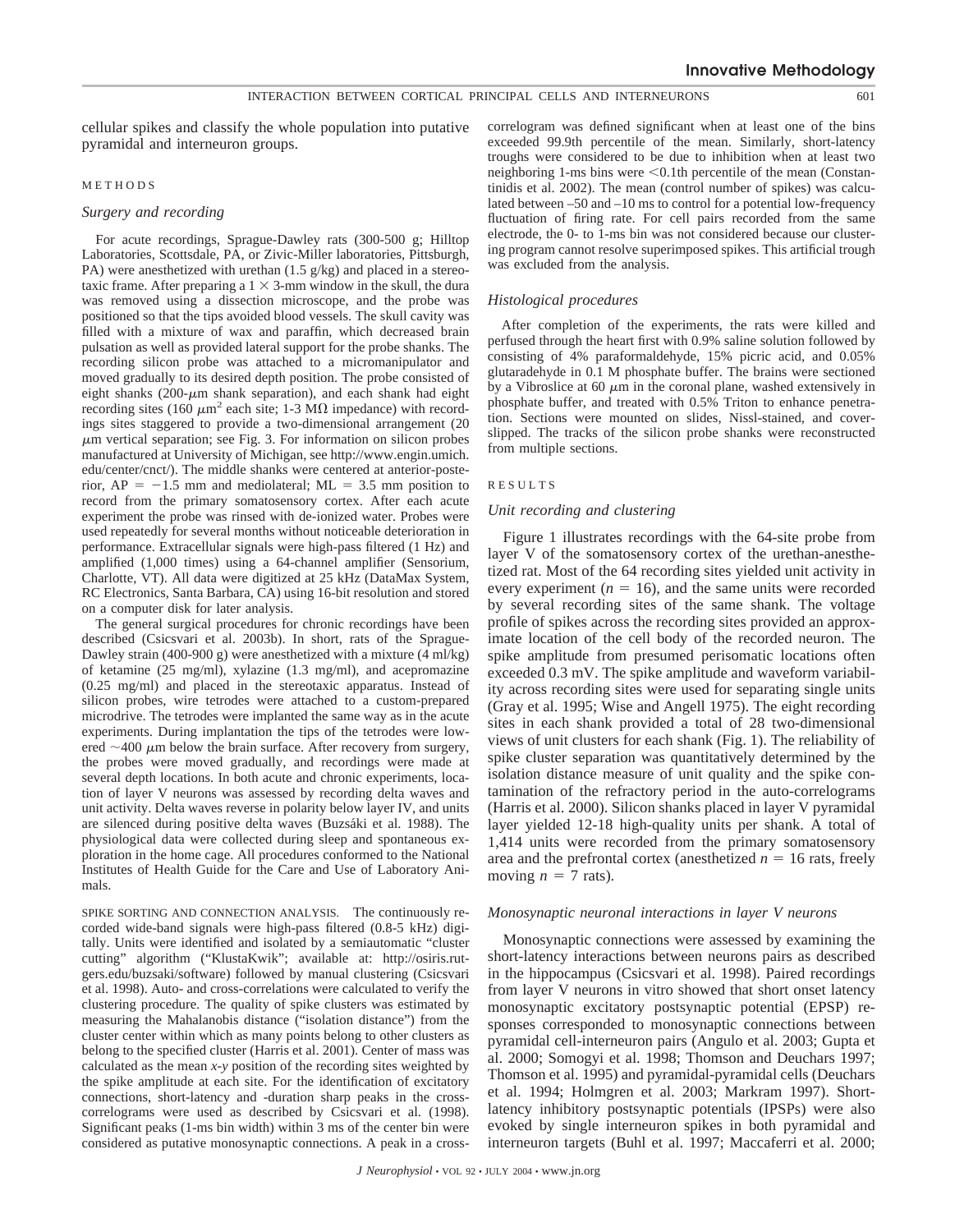cellular spikes and classify the whole population into putative pyramidal and interneuron groups.

# METHODS

# *Surgery and recording*

For acute recordings, Sprague-Dawley rats (300-500 g; Hilltop Laboratories, Scottsdale, PA, or Zivic-Miller laboratories, Pittsburgh, PA) were anesthetized with urethan  $(1.5 \text{ g/kg})$  and placed in a stereotaxic frame. After preparing a  $1 \times 3$ -mm window in the skull, the dura was removed using a dissection microscope, and the probe was positioned so that the tips avoided blood vessels. The skull cavity was filled with a mixture of wax and paraffin, which decreased brain pulsation as well as provided lateral support for the probe shanks. The recording silicon probe was attached to a micromanipulator and moved gradually to its desired depth position. The probe consisted of eight shanks ( $200$ - $\mu$ m shank separation), and each shank had eight recording sites (160  $\mu$ m<sup>2</sup> each site; 1-3 M $\Omega$  impedance) with recordings sites staggered to provide a two-dimensional arrangement (20  $\mu$ m vertical separation; see Fig. 3. For information on silicon probes manufactured at University of Michigan, see http://www.engin.umich. edu/center/cnct/). The middle shanks were centered at anterior-posterior,  $AP = -1.5$  mm and mediolateral;  $ML = 3.5$  mm position to record from the primary somatosensory cortex. After each acute experiment the probe was rinsed with de-ionized water. Probes were used repeatedly for several months without noticeable deterioration in performance. Extracellular signals were high-pass filtered (1 Hz) and amplified (1,000 times) using a 64-channel amplifier (Sensorium, Charlotte, VT). All data were digitized at 25 kHz (DataMax System, RC Electronics, Santa Barbara, CA) using 16-bit resolution and stored on a computer disk for later analysis.

The general surgical procedures for chronic recordings have been described (Csicsvari et al. 2003b). In short, rats of the Sprague-Dawley strain (400-900 g) were anesthetized with a mixture (4 ml/kg) of ketamine (25 mg/ml), xylazine (1.3 mg/ml), and acepromazine (0.25 mg/ml) and placed in the stereotaxic apparatus. Instead of silicon probes, wire tetrodes were attached to a custom-prepared microdrive. The tetrodes were implanted the same way as in the acute experiments. During implantation the tips of the tetrodes were lowered  $\sim$ 400  $\mu$ m below the brain surface. After recovery from surgery, the probes were moved gradually, and recordings were made at several depth locations. In both acute and chronic experiments, location of layer V neurons was assessed by recording delta waves and unit activity. Delta waves reverse in polarity below layer IV, and units are silenced during positive delta waves (Buzsáki et al. 1988). The physiological data were collected during sleep and spontaneous exploration in the home cage. All procedures conformed to the National Institutes of Health Guide for the Care and Use of Laboratory Animals.

SPIKE SORTING AND CONNECTION ANALYSIS. The continuously recorded wide-band signals were high-pass filtered (0.8-5 kHz) digitally. Units were identified and isolated by a semiautomatic "cluster cutting" algorithm ("KlustaKwik"; available at: http://osiris.rutgers.edu/buzsaki/software) followed by manual clustering (Csicsvari et al. 1998). Auto- and cross-correlations were calculated to verify the clustering procedure. The quality of spike clusters was estimated by measuring the Mahalanobis distance ("isolation distance") from the cluster center within which as many points belong to other clusters as belong to the specified cluster (Harris et al. 2001). Center of mass was calculated as the mean *x-y* position of the recording sites weighted by the spike amplitude at each site. For the identification of excitatory connections, short-latency and -duration sharp peaks in the crosscorrelograms were used as described by Csicsvari et al. (1998). Significant peaks (1-ms bin width) within 3 ms of the center bin were considered as putative monosynaptic connections. A peak in a crosscorrelogram was defined significant when at least one of the bins exceeded 99.9th percentile of the mean. Similarly, short-latency troughs were considered to be due to inhibition when at least two neighboring 1-ms bins were < 0.1th percentile of the mean (Constantinidis et al. 2002). The mean (control number of spikes) was calculated between –50 and –10 ms to control for a potential low-frequency fluctuation of firing rate. For cell pairs recorded from the same electrode, the 0- to 1-ms bin was not considered because our clustering program cannot resolve superimposed spikes. This artificial trough was excluded from the analysis.

#### *Histological procedures*

After completion of the experiments, the rats were killed and perfused through the heart first with 0.9% saline solution followed by consisting of 4% paraformaldehyde, 15% picric acid, and 0.05% glutaradehyde in 0.1 M phosphate buffer. The brains were sectioned by a Vibroslice at 60  $\mu$ m in the coronal plane, washed extensively in phosphate buffer, and treated with 0.5% Triton to enhance penetration. Sections were mounted on slides, Nissl-stained, and coverslipped. The tracks of the silicon probe shanks were reconstructed from multiple sections.

# RESULTS

#### *Unit recording and clustering*

Figure 1 illustrates recordings with the 64-site probe from layer V of the somatosensory cortex of the urethan-anesthetized rat. Most of the 64 recording sites yielded unit activity in every experiment  $(n = 16)$ , and the same units were recorded by several recording sites of the same shank. The voltage profile of spikes across the recording sites provided an approximate location of the cell body of the recorded neuron. The spike amplitude from presumed perisomatic locations often exceeded 0.3 mV. The spike amplitude and waveform variability across recording sites were used for separating single units (Gray et al. 1995; Wise and Angell 1975). The eight recording sites in each shank provided a total of 28 two-dimensional views of unit clusters for each shank (Fig. 1). The reliability of spike cluster separation was quantitatively determined by the isolation distance measure of unit quality and the spike contamination of the refractory period in the auto-correlograms (Harris et al. 2000). Silicon shanks placed in layer V pyramidal layer yielded 12-18 high-quality units per shank. A total of 1,414 units were recorded from the primary somatosensory area and the prefrontal cortex (anesthetized  $n = 16$  rats, freely moving  $n = 7$  rats).

#### *Monosynaptic neuronal interactions in layer V neurons*

Monosynaptic connections were assessed by examining the short-latency interactions between neurons pairs as described in the hippocampus (Csicsvari et al. 1998). Paired recordings from layer V neurons in vitro showed that short onset latency monosynaptic excitatory postsynaptic potential (EPSP) responses corresponded to monosynaptic connections between pyramidal cell-interneuron pairs (Angulo et al. 2003; Gupta et al. 2000; Somogyi et al. 1998; Thomson and Deuchars 1997; Thomson et al. 1995) and pyramidal-pyramidal cells (Deuchars et al. 1994; Holmgren et al. 2003; Markram 1997). Shortlatency inhibitory postsynaptic potentials (IPSPs) were also evoked by single interneuron spikes in both pyramidal and interneuron targets (Buhl et al. 1997; Maccaferri et al. 2000;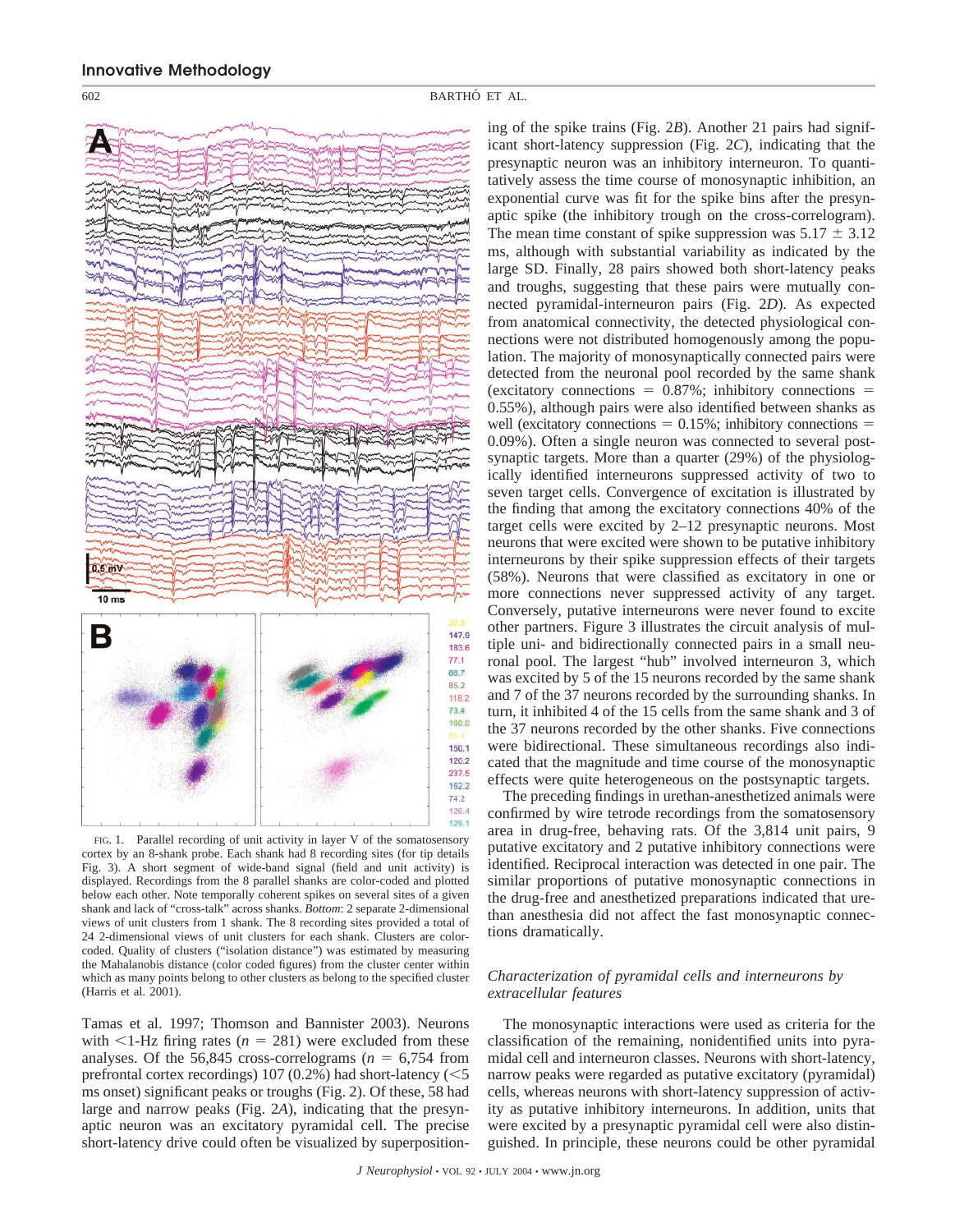

FIG. 1. Parallel recording of unit activity in layer V of the somatosensory cortex by an 8-shank probe. Each shank had 8 recording sites (for tip details Fig. 3). A short segment of wide-band signal (field and unit activity) is displayed. Recordings from the 8 parallel shanks are color-coded and plotted below each other. Note temporally coherent spikes on several sites of a given shank and lack of "cross-talk" across shanks. *Bottom*: 2 separate 2-dimensional views of unit clusters from 1 shank. The 8 recording sites provided a total of 24 2-dimensional views of unit clusters for each shank. Clusters are colorcoded. Quality of clusters ("isolation distance") was estimated by measuring the Mahalanobis distance (color coded figures) from the cluster center within which as many points belong to other clusters as belong to the specified cluster (Harris et al. 2001).

Tamas et al. 1997; Thomson and Bannister 2003). Neurons with  $\leq$ 1-Hz firing rates ( $n = 281$ ) were excluded from these analyses. Of the 56,845 cross-correlograms  $(n = 6,754$  from prefrontal cortex recordings)  $107(0.2%)$  had short-latency ( $\leq 5$ ms onset) significant peaks or troughs (Fig. 2). Of these, 58 had large and narrow peaks (Fig. 2*A*), indicating that the presynaptic neuron was an excitatory pyramidal cell. The precise short-latency drive could often be visualized by superpositioning of the spike trains (Fig. 2*B*). Another 21 pairs had significant short-latency suppression (Fig. 2*C*), indicating that the presynaptic neuron was an inhibitory interneuron. To quantitatively assess the time course of monosynaptic inhibition, an exponential curve was fit for the spike bins after the presynaptic spike (the inhibitory trough on the cross-correlogram). The mean time constant of spike suppression was  $5.17 \pm 3.12$ ms, although with substantial variability as indicated by the large SD. Finally, 28 pairs showed both short-latency peaks and troughs, suggesting that these pairs were mutually connected pyramidal-interneuron pairs (Fig. 2*D*). As expected from anatomical connectivity, the detected physiological connections were not distributed homogenously among the population. The majority of monosynaptically connected pairs were detected from the neuronal pool recorded by the same shank (excitatory connections  $= 0.87\%$ ; inhibitory connections  $=$ 0.55%), although pairs were also identified between shanks as well (excitatory connections  $= 0.15\%$ ; inhibitory connections  $=$ 0.09%). Often a single neuron was connected to several postsynaptic targets. More than a quarter (29%) of the physiologically identified interneurons suppressed activity of two to seven target cells. Convergence of excitation is illustrated by the finding that among the excitatory connections 40% of the target cells were excited by 2–12 presynaptic neurons. Most neurons that were excited were shown to be putative inhibitory interneurons by their spike suppression effects of their targets (58%). Neurons that were classified as excitatory in one or more connections never suppressed activity of any target. Conversely, putative interneurons were never found to excite other partners. Figure 3 illustrates the circuit analysis of multiple uni- and bidirectionally connected pairs in a small neuronal pool. The largest "hub" involved interneuron 3, which was excited by 5 of the 15 neurons recorded by the same shank and 7 of the 37 neurons recorded by the surrounding shanks. In turn, it inhibited 4 of the 15 cells from the same shank and 3 of the 37 neurons recorded by the other shanks. Five connections were bidirectional. These simultaneous recordings also indicated that the magnitude and time course of the monosynaptic effects were quite heterogeneous on the postsynaptic targets.

The preceding findings in urethan-anesthetized animals were confirmed by wire tetrode recordings from the somatosensory area in drug-free, behaving rats. Of the 3,814 unit pairs, 9 putative excitatory and 2 putative inhibitory connections were identified. Reciprocal interaction was detected in one pair. The similar proportions of putative monosynaptic connections in the drug-free and anesthetized preparations indicated that urethan anesthesia did not affect the fast monosynaptic connections dramatically.

# *Characterization of pyramidal cells and interneurons by extracellular features*

The monosynaptic interactions were used as criteria for the classification of the remaining, nonidentified units into pyramidal cell and interneuron classes. Neurons with short-latency, narrow peaks were regarded as putative excitatory (pyramidal) cells, whereas neurons with short-latency suppression of activity as putative inhibitory interneurons. In addition, units that were excited by a presynaptic pyramidal cell were also distinguished. In principle, these neurons could be other pyramidal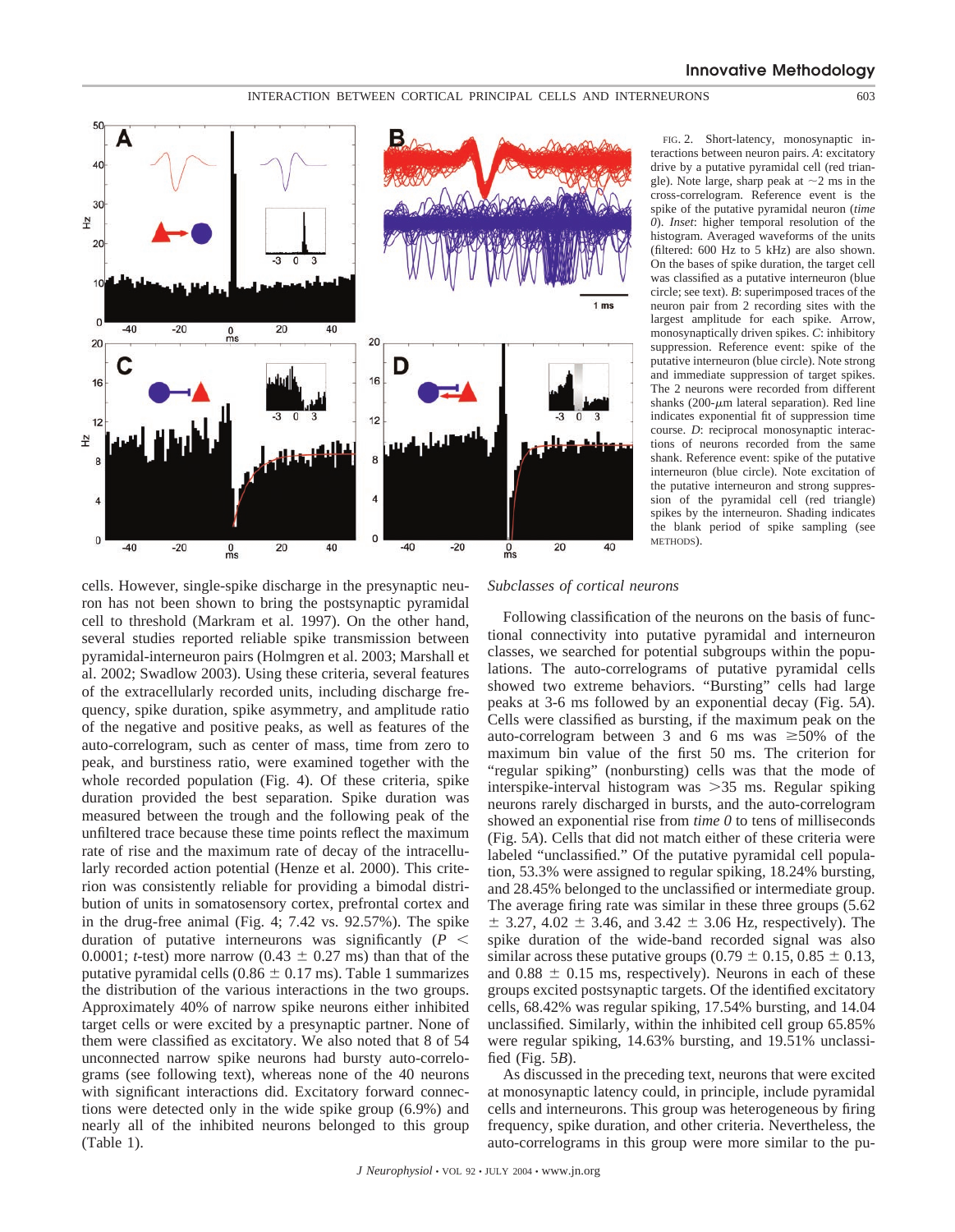

FIG. 2. Short-latency, monosynaptic interactions between neuron pairs. *A*: excitatory drive by a putative pyramidal cell (red triangle). Note large, sharp peak at  $\sim$ 2 ms in the cross-correlogram. Reference event is the spike of the putative pyramidal neuron (*time 0*). *Inset*: higher temporal resolution of the histogram. Averaged waveforms of the units (filtered: 600 Hz to 5 kHz) are also shown. On the bases of spike duration, the target cell was classified as a putative interneuron (blue circle; see text). *B*: superimposed traces of the neuron pair from 2 recording sites with the largest amplitude for each spike. Arrow, monosynaptically driven spikes. *C*: inhibitory suppression. Reference event: spike of the putative interneuron (blue circle). Note strong and immediate suppression of target spikes. The 2 neurons were recorded from different shanks (200- $\mu$ m lateral separation). Red line indicates exponential fit of suppression time course. *D*: reciprocal monosynaptic interactions of neurons recorded from the same shank. Reference event: spike of the putative interneuron (blue circle). Note excitation of the putative interneuron and strong suppression of the pyramidal cell (red triangle) spikes by the interneuron. Shading indicates the blank period of spike sampling (see METHODS).

cells. However, single-spike discharge in the presynaptic neuron has not been shown to bring the postsynaptic pyramidal cell to threshold (Markram et al. 1997). On the other hand, several studies reported reliable spike transmission between pyramidal-interneuron pairs (Holmgren et al. 2003; Marshall et al. 2002; Swadlow 2003). Using these criteria, several features of the extracellularly recorded units, including discharge frequency, spike duration, spike asymmetry, and amplitude ratio of the negative and positive peaks, as well as features of the auto-correlogram, such as center of mass, time from zero to peak, and burstiness ratio, were examined together with the whole recorded population (Fig. 4). Of these criteria, spike duration provided the best separation. Spike duration was measured between the trough and the following peak of the unfiltered trace because these time points reflect the maximum rate of rise and the maximum rate of decay of the intracellularly recorded action potential (Henze et al. 2000). This criterion was consistently reliable for providing a bimodal distribution of units in somatosensory cortex, prefrontal cortex and in the drug-free animal (Fig. 4; 7.42 vs. 92.57%). The spike duration of putative interneurons was significantly  $(P \leq$ 0.0001; *t*-test) more narrow (0.43  $\pm$  0.27 ms) than that of the putative pyramidal cells  $(0.86 \pm 0.17 \text{ ms})$ . Table 1 summarizes the distribution of the various interactions in the two groups. Approximately 40% of narrow spike neurons either inhibited target cells or were excited by a presynaptic partner. None of them were classified as excitatory. We also noted that 8 of 54 unconnected narrow spike neurons had bursty auto-correlograms (see following text), whereas none of the 40 neurons with significant interactions did. Excitatory forward connections were detected only in the wide spike group (6.9%) and nearly all of the inhibited neurons belonged to this group (Table 1).

# *Subclasses of cortical neurons*

Following classification of the neurons on the basis of functional connectivity into putative pyramidal and interneuron classes, we searched for potential subgroups within the populations. The auto-correlograms of putative pyramidal cells showed two extreme behaviors. "Bursting" cells had large peaks at 3-6 ms followed by an exponential decay (Fig. 5*A*). Cells were classified as bursting, if the maximum peak on the auto-correlogram between 3 and 6 ms was  $\geq 50\%$  of the maximum bin value of the first 50 ms. The criterion for "regular spiking" (nonbursting) cells was that the mode of interspike-interval histogram was 35 ms. Regular spiking neurons rarely discharged in bursts, and the auto-correlogram showed an exponential rise from *time 0* to tens of milliseconds (Fig. 5*A*). Cells that did not match either of these criteria were labeled "unclassified." Of the putative pyramidal cell population, 53.3% were assigned to regular spiking, 18.24% bursting, and 28.45% belonged to the unclassified or intermediate group. The average firing rate was similar in these three groups (5.62  $\pm$  3.27, 4.02  $\pm$  3.46, and 3.42  $\pm$  3.06 Hz, respectively). The spike duration of the wide-band recorded signal was also similar across these putative groups (0.79  $\pm$  0.15, 0.85  $\pm$  0.13, and  $0.88 \pm 0.15$  ms, respectively). Neurons in each of these groups excited postsynaptic targets. Of the identified excitatory cells, 68.42% was regular spiking, 17.54% bursting, and 14.04 unclassified. Similarly, within the inhibited cell group 65.85% were regular spiking, 14.63% bursting, and 19.51% unclassified (Fig. 5*B*).

As discussed in the preceding text, neurons that were excited at monosynaptic latency could, in principle, include pyramidal cells and interneurons. This group was heterogeneous by firing frequency, spike duration, and other criteria. Nevertheless, the auto-correlograms in this group were more similar to the pu-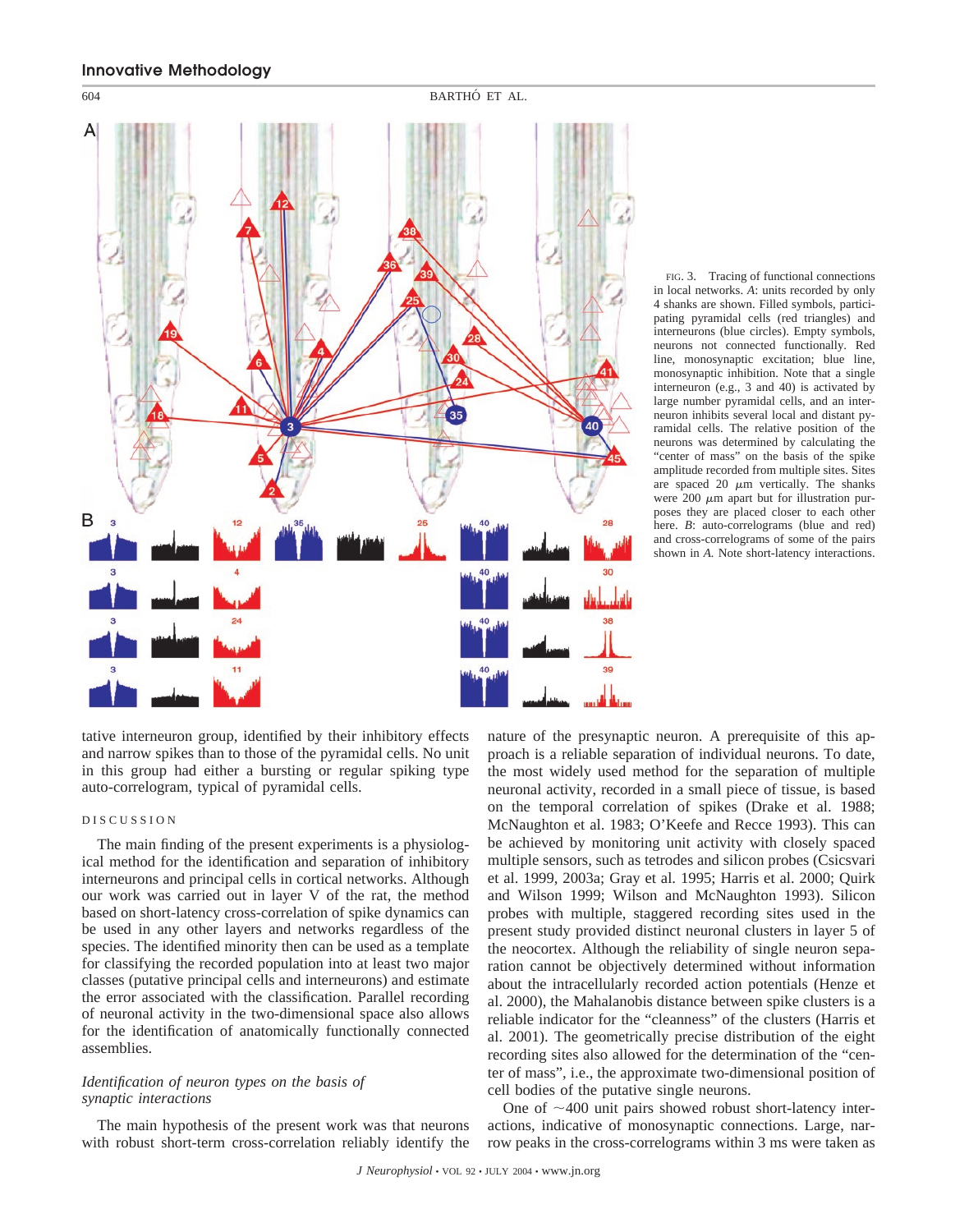

FIG. 3. Tracing of functional connections in local networks. *A*: units recorded by only 4 shanks are shown. Filled symbols, participating pyramidal cells (red triangles) and interneurons (blue circles). Empty symbols, neurons not connected functionally. Red line, monosynaptic excitation; blue line, monosynaptic inhibition. Note that a single interneuron (e.g., 3 and 40) is activated by large number pyramidal cells, and an interneuron inhibits several local and distant pyramidal cells. The relative position of the neurons was determined by calculating the "center of mass" on the basis of the spike amplitude recorded from multiple sites. Sites are spaced 20  $\mu$ m vertically. The shanks were 200  $\mu$ m apart but for illustration purposes they are placed closer to each other here. *B*: auto-correlograms (blue and red) and cross-correlograms of some of the pairs shown in *A.* Note short-latency interactions.

tative interneuron group, identified by their inhibitory effects and narrow spikes than to those of the pyramidal cells. No unit in this group had either a bursting or regular spiking type auto-correlogram, typical of pyramidal cells.

# DISCUSSION

The main finding of the present experiments is a physiological method for the identification and separation of inhibitory interneurons and principal cells in cortical networks. Although our work was carried out in layer V of the rat, the method based on short-latency cross-correlation of spike dynamics can be used in any other layers and networks regardless of the species. The identified minority then can be used as a template for classifying the recorded population into at least two major classes (putative principal cells and interneurons) and estimate the error associated with the classification. Parallel recording of neuronal activity in the two-dimensional space also allows for the identification of anatomically functionally connected assemblies.

# *Identification of neuron types on the basis of synaptic interactions*

The main hypothesis of the present work was that neurons with robust short-term cross-correlation reliably identify the nature of the presynaptic neuron. A prerequisite of this approach is a reliable separation of individual neurons. To date, the most widely used method for the separation of multiple neuronal activity, recorded in a small piece of tissue, is based on the temporal correlation of spikes (Drake et al. 1988; McNaughton et al. 1983; O'Keefe and Recce 1993). This can be achieved by monitoring unit activity with closely spaced multiple sensors, such as tetrodes and silicon probes (Csicsvari et al. 1999, 2003a; Gray et al. 1995; Harris et al. 2000; Quirk and Wilson 1999; Wilson and McNaughton 1993). Silicon probes with multiple, staggered recording sites used in the present study provided distinct neuronal clusters in layer 5 of the neocortex. Although the reliability of single neuron separation cannot be objectively determined without information about the intracellularly recorded action potentials (Henze et al. 2000), the Mahalanobis distance between spike clusters is a reliable indicator for the "cleanness" of the clusters (Harris et al. 2001). The geometrically precise distribution of the eight recording sites also allowed for the determination of the "center of mass", i.e., the approximate two-dimensional position of cell bodies of the putative single neurons.

One of  $\sim$ 400 unit pairs showed robust short-latency interactions, indicative of monosynaptic connections. Large, narrow peaks in the cross-correlograms within 3 ms were taken as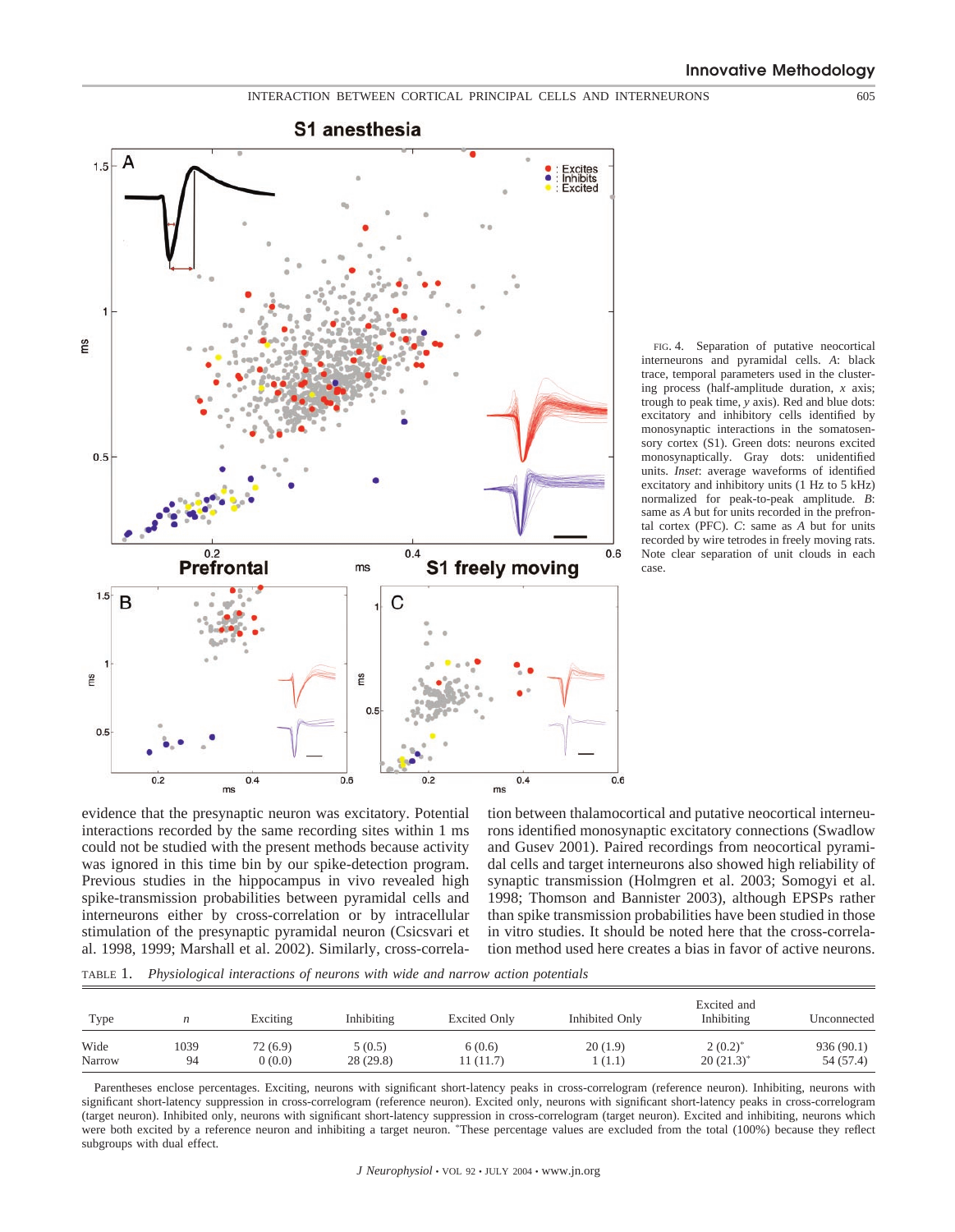

FIG. 4. Separation of putative neocortical interneurons and pyramidal cells. *A*: black trace, temporal parameters used in the clustering process (half-amplitude duration, *x* axis; trough to peak time, *y* axis). Red and blue dots: excitatory and inhibitory cells identified by monosynaptic interactions in the somatosensory cortex (S1). Green dots: neurons excited monosynaptically. Gray dots: unidentified units. *Inset*: average waveforms of identified excitatory and inhibitory units (1 Hz to 5 kHz) normalized for peak-to-peak amplitude. *B*: same as *A* but for units recorded in the prefrontal cortex (PFC). *C*: same as *A* but for units recorded by wire tetrodes in freely moving rats. Note clear separation of unit clouds in each case.

evidence that the presynaptic neuron was excitatory. Potential interactions recorded by the same recording sites within 1 ms could not be studied with the present methods because activity was ignored in this time bin by our spike-detection program. Previous studies in the hippocampus in vivo revealed high spike-transmission probabilities between pyramidal cells and interneurons either by cross-correlation or by intracellular stimulation of the presynaptic pyramidal neuron (Csicsvari et al. 1998, 1999; Marshall et al. 2002). Similarly, cross-correlation between thalamocortical and putative neocortical interneurons identified monosynaptic excitatory connections (Swadlow and Gusev 2001). Paired recordings from neocortical pyramidal cells and target interneurons also showed high reliability of synaptic transmission (Holmgren et al. 2003; Somogyi et al. 1998; Thomson and Bannister 2003), although EPSPs rather than spike transmission probabilities have been studied in those in vitro studies. It should be noted here that the cross-correlation method used here creates a bias in favor of active neurons.

TABLE 1. *Physiological interactions of neurons with wide and narrow action potentials*

| Type   |      | Exciting | Inhibiting | <b>Excited Only</b> | Inhibited Only | Excited and<br>Inhibiting | Unconnected |
|--------|------|----------|------------|---------------------|----------------|---------------------------|-------------|
| Wide   | 1039 | 72 (6.9) | 5(0.5)     | 6(0.6)              | 20(1.9)        | $2(0.2)^{*}$              | 936(90.1)   |
| Narrow | 94   | 0(0.0)   | 28(29.8)   | 11 (11.7)           | (1.1)          | $20(21.3)^{*}$            | 54 (57.4)   |

Parentheses enclose percentages. Exciting, neurons with significant short-latency peaks in cross-correlogram (reference neuron). Inhibiting, neurons with significant short-latency suppression in cross-correlogram (reference neuron). Excited only, neurons with significant short-latency peaks in cross-correlogram (target neuron). Inhibited only, neurons with significant short-latency suppression in cross-correlogram (target neuron). Excited and inhibiting, neurons which<br>were both excited by a reference neuron and inhibiting a targe subgroups with dual effect.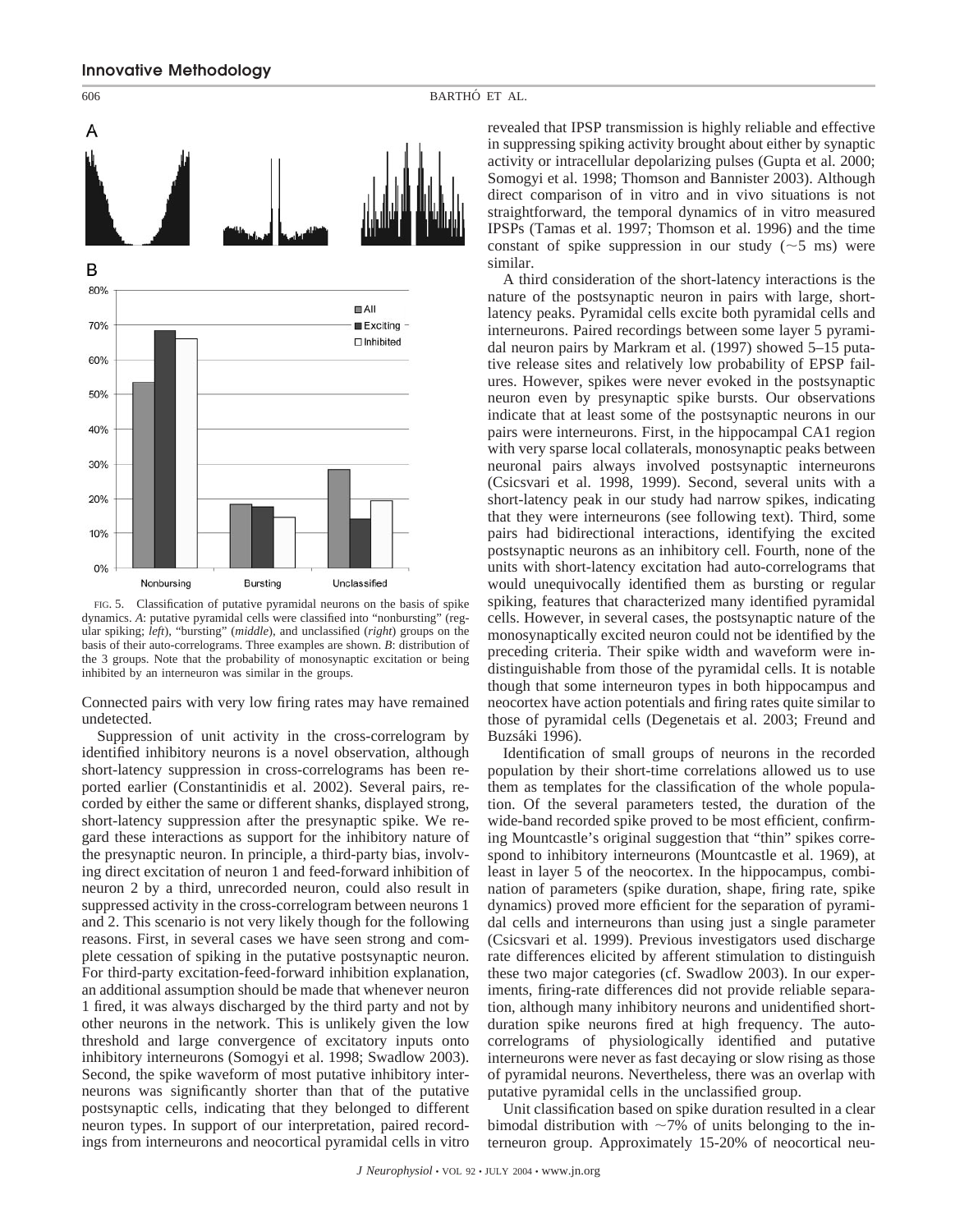

FIG. 5. Classification of putative pyramidal neurons on the basis of spike dynamics. *A*: putative pyramidal cells were classified into "nonbursting" (regular spiking; *left*), "bursting" (*middle*), and unclassified (*right*) groups on the basis of their auto-correlograms. Three examples are shown. *B*: distribution of the 3 groups. Note that the probability of monosynaptic excitation or being inhibited by an interneuron was similar in the groups.

Connected pairs with very low firing rates may have remained undetected.

Suppression of unit activity in the cross-correlogram by identified inhibitory neurons is a novel observation, although short-latency suppression in cross-correlograms has been reported earlier (Constantinidis et al. 2002). Several pairs, recorded by either the same or different shanks, displayed strong, short-latency suppression after the presynaptic spike. We regard these interactions as support for the inhibitory nature of the presynaptic neuron. In principle, a third-party bias, involving direct excitation of neuron 1 and feed-forward inhibition of neuron 2 by a third, unrecorded neuron, could also result in suppressed activity in the cross-correlogram between neurons 1 and 2. This scenario is not very likely though for the following reasons. First, in several cases we have seen strong and complete cessation of spiking in the putative postsynaptic neuron. For third-party excitation-feed-forward inhibition explanation, an additional assumption should be made that whenever neuron 1 fired, it was always discharged by the third party and not by other neurons in the network. This is unlikely given the low threshold and large convergence of excitatory inputs onto inhibitory interneurons (Somogyi et al. 1998; Swadlow 2003). Second, the spike waveform of most putative inhibitory interneurons was significantly shorter than that of the putative postsynaptic cells, indicating that they belonged to different neuron types. In support of our interpretation, paired recordings from interneurons and neocortical pyramidal cells in vitro

revealed that IPSP transmission is highly reliable and effective in suppressing spiking activity brought about either by synaptic activity or intracellular depolarizing pulses (Gupta et al. 2000; Somogyi et al. 1998; Thomson and Bannister 2003). Although direct comparison of in vitro and in vivo situations is not straightforward, the temporal dynamics of in vitro measured IPSPs (Tamas et al. 1997; Thomson et al. 1996) and the time constant of spike suppression in our study  $(\sim 5 \text{ ms})$  were similar.

A third consideration of the short-latency interactions is the nature of the postsynaptic neuron in pairs with large, shortlatency peaks. Pyramidal cells excite both pyramidal cells and interneurons. Paired recordings between some layer 5 pyramidal neuron pairs by Markram et al. (1997) showed 5–15 putative release sites and relatively low probability of EPSP failures. However, spikes were never evoked in the postsynaptic neuron even by presynaptic spike bursts. Our observations indicate that at least some of the postsynaptic neurons in our pairs were interneurons. First, in the hippocampal CA1 region with very sparse local collaterals, monosynaptic peaks between neuronal pairs always involved postsynaptic interneurons (Csicsvari et al. 1998, 1999). Second, several units with a short-latency peak in our study had narrow spikes, indicating that they were interneurons (see following text). Third, some pairs had bidirectional interactions, identifying the excited postsynaptic neurons as an inhibitory cell. Fourth, none of the units with short-latency excitation had auto-correlograms that would unequivocally identified them as bursting or regular spiking, features that characterized many identified pyramidal cells. However, in several cases, the postsynaptic nature of the monosynaptically excited neuron could not be identified by the preceding criteria. Their spike width and waveform were indistinguishable from those of the pyramidal cells. It is notable though that some interneuron types in both hippocampus and neocortex have action potentials and firing rates quite similar to those of pyramidal cells (Degenetais et al. 2003; Freund and Buzsáki 1996).

Identification of small groups of neurons in the recorded population by their short-time correlations allowed us to use them as templates for the classification of the whole population. Of the several parameters tested, the duration of the wide-band recorded spike proved to be most efficient, confirming Mountcastle's original suggestion that "thin" spikes correspond to inhibitory interneurons (Mountcastle et al. 1969), at least in layer 5 of the neocortex. In the hippocampus, combination of parameters (spike duration, shape, firing rate, spike dynamics) proved more efficient for the separation of pyramidal cells and interneurons than using just a single parameter (Csicsvari et al. 1999). Previous investigators used discharge rate differences elicited by afferent stimulation to distinguish these two major categories (cf. Swadlow 2003). In our experiments, firing-rate differences did not provide reliable separation, although many inhibitory neurons and unidentified shortduration spike neurons fired at high frequency. The autocorrelograms of physiologically identified and putative interneurons were never as fast decaying or slow rising as those of pyramidal neurons. Nevertheless, there was an overlap with putative pyramidal cells in the unclassified group.

Unit classification based on spike duration resulted in a clear bimodal distribution with  $\sim$ 7% of units belonging to the interneuron group. Approximately 15-20% of neocortical neu-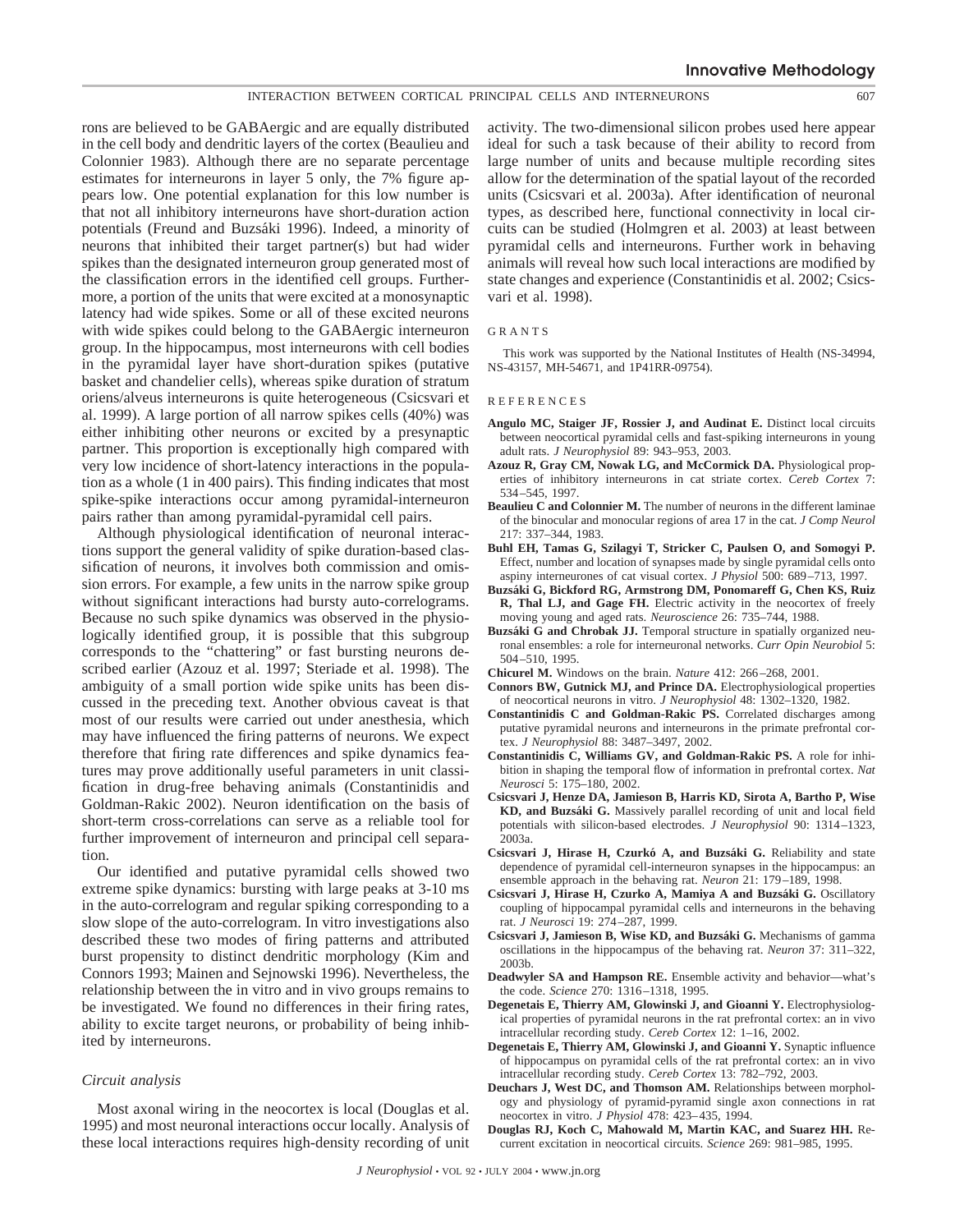rons are believed to be GABAergic and are equally distributed in the cell body and dendritic layers of the cortex (Beaulieu and Colonnier 1983). Although there are no separate percentage estimates for interneurons in layer 5 only, the 7% figure appears low. One potential explanation for this low number is that not all inhibitory interneurons have short-duration action potentials (Freund and Buzsáki 1996). Indeed, a minority of neurons that inhibited their target partner(s) but had wider spikes than the designated interneuron group generated most of the classification errors in the identified cell groups. Furthermore, a portion of the units that were excited at a monosynaptic latency had wide spikes. Some or all of these excited neurons with wide spikes could belong to the GABAergic interneuron group. In the hippocampus, most interneurons with cell bodies in the pyramidal layer have short-duration spikes (putative basket and chandelier cells), whereas spike duration of stratum oriens/alveus interneurons is quite heterogeneous (Csicsvari et al. 1999). A large portion of all narrow spikes cells (40%) was either inhibiting other neurons or excited by a presynaptic partner. This proportion is exceptionally high compared with very low incidence of short-latency interactions in the population as a whole (1 in 400 pairs). This finding indicates that most spike-spike interactions occur among pyramidal-interneuron pairs rather than among pyramidal-pyramidal cell pairs.

Although physiological identification of neuronal interactions support the general validity of spike duration-based classification of neurons, it involves both commission and omission errors. For example, a few units in the narrow spike group without significant interactions had bursty auto-correlograms. Because no such spike dynamics was observed in the physiologically identified group, it is possible that this subgroup corresponds to the "chattering" or fast bursting neurons described earlier (Azouz et al. 1997; Steriade et al. 1998). The ambiguity of a small portion wide spike units has been discussed in the preceding text. Another obvious caveat is that most of our results were carried out under anesthesia, which may have influenced the firing patterns of neurons. We expect therefore that firing rate differences and spike dynamics features may prove additionally useful parameters in unit classification in drug-free behaving animals (Constantinidis and Goldman-Rakic 2002). Neuron identification on the basis of short-term cross-correlations can serve as a reliable tool for further improvement of interneuron and principal cell separation.

Our identified and putative pyramidal cells showed two extreme spike dynamics: bursting with large peaks at 3-10 ms in the auto-correlogram and regular spiking corresponding to a slow slope of the auto-correlogram. In vitro investigations also described these two modes of firing patterns and attributed burst propensity to distinct dendritic morphology (Kim and Connors 1993; Mainen and Sejnowski 1996). Nevertheless, the relationship between the in vitro and in vivo groups remains to be investigated. We found no differences in their firing rates, ability to excite target neurons, or probability of being inhibited by interneurons.

# *Circuit analysis*

Most axonal wiring in the neocortex is local (Douglas et al. 1995) and most neuronal interactions occur locally. Analysis of these local interactions requires high-density recording of unit activity. The two-dimensional silicon probes used here appear ideal for such a task because of their ability to record from large number of units and because multiple recording sites allow for the determination of the spatial layout of the recorded units (Csicsvari et al. 2003a). After identification of neuronal types, as described here, functional connectivity in local circuits can be studied (Holmgren et al. 2003) at least between pyramidal cells and interneurons. Further work in behaving animals will reveal how such local interactions are modified by state changes and experience (Constantinidis et al. 2002; Csicsvari et al. 1998).

# GRANTS

This work was supported by the National Institutes of Health (NS-34994, NS-43157, MH-54671, and 1P41RR-09754).

#### REFERENCES

- **Angulo MC, Staiger JF, Rossier J, and Audinat E.** Distinct local circuits between neocortical pyramidal cells and fast-spiking interneurons in young adult rats. *J Neurophysiol* 89: 943–953, 2003.
- **Azouz R, Gray CM, Nowak LG, and McCormick DA.** Physiological properties of inhibitory interneurons in cat striate cortex. *Cereb Cortex* 7: 534–545, 1997.
- **Beaulieu C and Colonnier M.** The number of neurons in the different laminae of the binocular and monocular regions of area 17 in the cat. *J Comp Neurol* 217: 337–344, 1983.
- **Buhl EH, Tamas G, Szilagyi T, Stricker C, Paulsen O, and Somogyi P.** Effect, number and location of synapses made by single pyramidal cells onto aspiny interneurones of cat visual cortex. *J Physiol* 500: 689–713, 1997.
- **Buzsa´ki G, Bickford RG, Armstrong DM, Ponomareff G, Chen KS, Ruiz R, Thal LJ, and Gage FH.** Electric activity in the neocortex of freely moving young and aged rats. *Neuroscience* 26: 735–744, 1988.
- Buzsáki G and Chrobak JJ. Temporal structure in spatially organized neuronal ensembles: a role for interneuronal networks. *Curr Opin Neurobiol* 5: 504–510, 1995.
- **Chicurel M.** Windows on the brain. *Nature* 412: 266–268, 2001.
- **Connors BW, Gutnick MJ, and Prince DA.** Electrophysiological properties of neocortical neurons in vitro. *J Neurophysiol* 48: 1302–1320, 1982.
- **Constantinidis C and Goldman-Rakic PS.** Correlated discharges among putative pyramidal neurons and interneurons in the primate prefrontal cortex. *J Neurophysiol* 88: 3487–3497, 2002.
- **Constantinidis C, Williams GV, and Goldman-Rakic PS.** A role for inhibition in shaping the temporal flow of information in prefrontal cortex. *Nat Neurosci* 5: 175–180, 2002.
- **Csicsvari J, Henze DA, Jamieson B, Harris KD, Sirota A, Bartho P, Wise KD, and Buzsa´ki G.** Massively parallel recording of unit and local field potentials with silicon-based electrodes. *J Neurophysiol* 90: 1314–1323, 2003a.
- **Csicsvari J, Hirase H, Czurko´ A, and Buzsa´ki G.** Reliability and state dependence of pyramidal cell-interneuron synapses in the hippocampus: an ensemble approach in the behaving rat. *Neuron* 21: 179–189, 1998.
- Csicsvari J, Hirase H, Czurko A, Mamiya A and Buzsáki G. Oscillatory coupling of hippocampal pyramidal cells and interneurons in the behaving rat. *J Neurosci* 19: 274–287, 1999.
- **Csicsvari J, Jamieson B, Wise KD, and Buzsa´ki G.** Mechanisms of gamma oscillations in the hippocampus of the behaving rat. *Neuron* 37: 311–322, 2003b.
- **Deadwyler SA and Hampson RE.** Ensemble activity and behavior—what's the code. *Science* 270: 1316–1318, 1995.
- **Degenetais E, Thierry AM, Glowinski J, and Gioanni Y.** Electrophysiological properties of pyramidal neurons in the rat prefrontal cortex: an in vivo intracellular recording study. *Cereb Cortex* 12: 1–16, 2002.
- **Degenetais E, Thierry AM, Glowinski J, and Gioanni Y.** Synaptic influence of hippocampus on pyramidal cells of the rat prefrontal cortex: an in vivo intracellular recording study. *Cereb Cortex* 13: 782–792, 2003.
- **Deuchars J, West DC, and Thomson AM.** Relationships between morphology and physiology of pyramid-pyramid single axon connections in rat neocortex in vitro. *J Physiol* 478: 423–435, 1994.
- **Douglas RJ, Koch C, Mahowald M, Martin KAC, and Suarez HH.** Recurrent excitation in neocortical circuits. *Science* 269: 981–985, 1995.